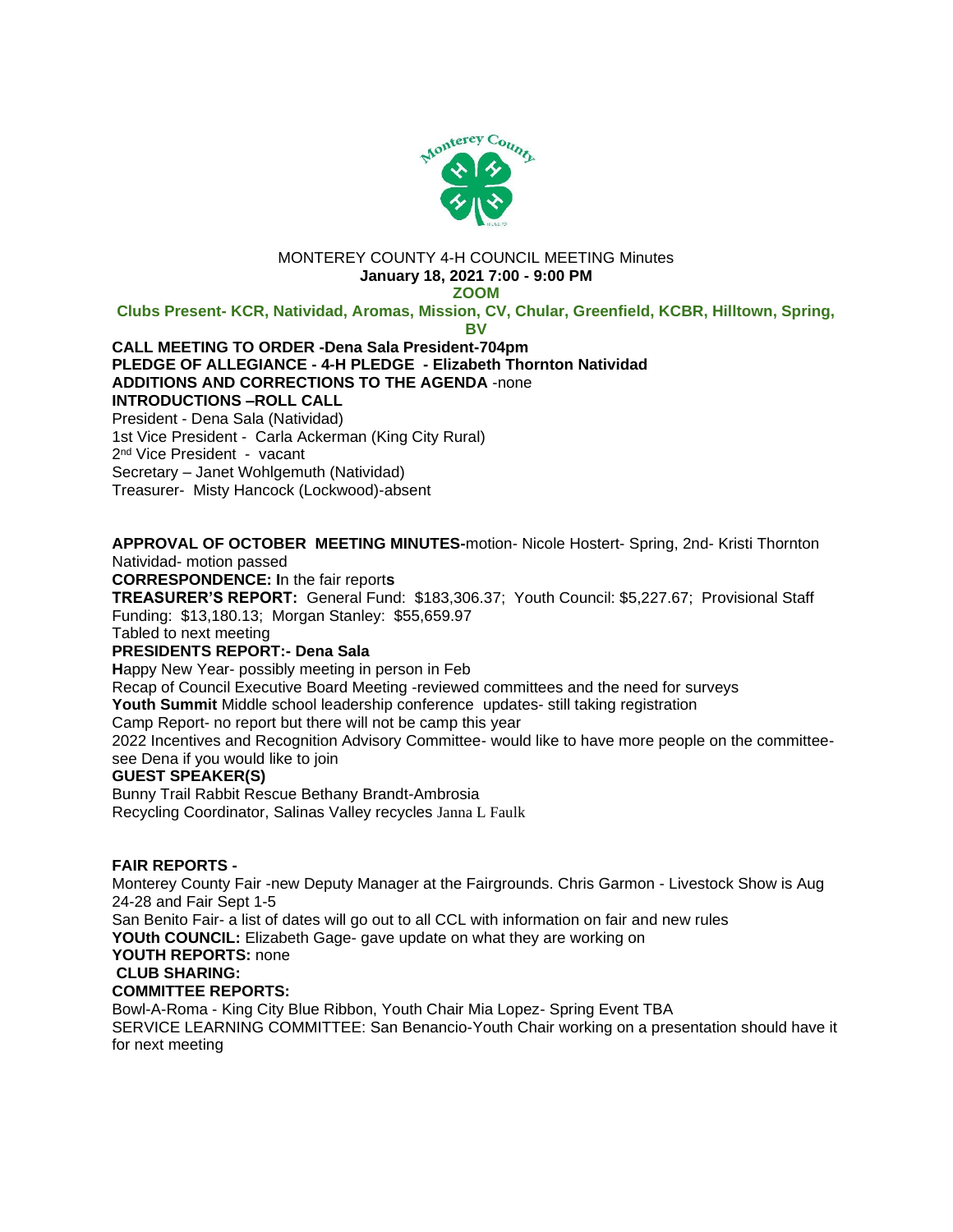

#### MONTEREY COUNTY 4-H COUNCIL MEETING Minutes **January 18, 2021 7:00 - 9:00 PM**

**ZOOM**

**Clubs Present- KCR, Natividad, Aromas, Mission, CV, Chular, Greenfield, KCBR, Hilltown, Spring,** 

**BV**

# **CALL MEETING TO ORDER -Dena Sala President-704pm PLEDGE OF ALLEGIANCE - 4-H PLEDGE - Elizabeth Thornton Natividad ADDITIONS AND CORRECTIONS TO THE AGENDA** -none **INTRODUCTIONS –ROLL CALL**  President - Dena Sala (Natividad)

1st Vice President - Carla Ackerman (King City Rural) 2<sup>nd</sup> Vice President - vacant Secretary – Janet Wohlgemuth (Natividad) Treasurer- Misty Hancock (Lockwood)-absent

**APPROVAL OF OCTOBER MEETING MINUTES-**motion- Nicole Hostert- Spring, 2nd- Kristi Thornton Natividad- motion passed

**CORRESPONDENCE: I**n the fair report**s**

**TREASURER'S REPORT:** General Fund: \$183,306.37; Youth Council: \$5,227.67; Provisional Staff Funding: \$13,180.13; Morgan Stanley: \$55,659.97

Tabled to next meeting

## **PRESIDENTS REPORT:- Dena Sala**

**H**appy New Year- possibly meeting in person in Feb

Recap of Council Executive Board Meeting -reviewed committees and the need for surveys

**Youth Summit** Middle school leadership conference updates- still taking registration

Camp Report- no report but there will not be camp this year

2022 Incentives and Recognition Advisory Committee- would like to have more people on the committeesee Dena if you would like to join

## **GUEST SPEAKER(S)**

Bunny Trail Rabbit Rescue Bethany Brandt-Ambrosia Recycling Coordinator, Salinas Valley recycles Janna L Faulk

## **FAIR REPORTS -**

Monterey County Fair -new Deputy Manager at the Fairgrounds. Chris Garmon - Livestock Show is Aug 24-28 and Fair Sept 1-5

San Benito Fair- a list of dates will go out to all CCL with information on fair and new rules

**YOUth COUNCIL:** Elizabeth Gage- gave update on what they are working on

#### **YOUTH REPORTS:** none

## **CLUB SHARING:**

## **COMMITTEE REPORTS:**

Bowl-A-Roma - King City Blue Ribbon, Youth Chair Mia Lopez- Spring Event TBA SERVICE LEARNING COMMITTEE: San Benancio-Youth Chair working on a presentation should have it for next meeting